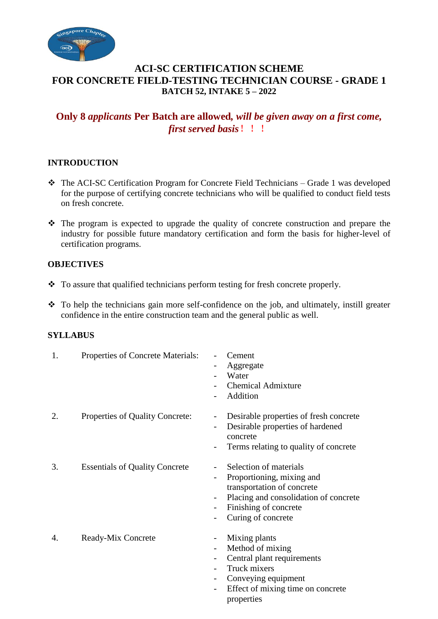

# **ACI-SC CERTIFICATION SCHEME FOR CONCRETE FIELD-TESTING TECHNICIAN COURSE - GRADE 1 BATCH 52, INTAKE 5 – 2022**

# **Only 8** *applicants* **Per Batch are allowed***, will be given away on a first come, first served basis*!!!

# **INTRODUCTION**

- The ACI-SC Certification Program for Concrete Field Technicians Grade 1 was developed for the purpose of certifying concrete technicians who will be qualified to conduct field tests on fresh concrete.
- $\hat{\mathbf{v}}$  The program is expected to upgrade the quality of concrete construction and prepare the industry for possible future mandatory certification and form the basis for higher-level of certification programs.

### **OBJECTIVES**

- To assure that qualified technicians perform testing for fresh concrete properly.
- $\cdot \cdot$  To help the technicians gain more self-confidence on the job, and ultimately, instill greater confidence in the entire construction team and the general public as well.

### **SYLLABUS**

| 1. | Properties of Concrete Materials:     | Cement<br>Aggregate<br>Water<br><b>Chemical Admixture</b><br>Addition                                                                                                     |
|----|---------------------------------------|---------------------------------------------------------------------------------------------------------------------------------------------------------------------------|
| 2. | Properties of Quality Concrete:       | Desirable properties of fresh concrete<br>$\overline{\phantom{a}}$<br>Desirable properties of hardened<br>concrete<br>Terms relating to quality of concrete               |
| 3. | <b>Essentials of Quality Concrete</b> | Selection of materials<br>Proportioning, mixing and<br>transportation of concrete<br>Placing and consolidation of concrete<br>Finishing of concrete<br>Curing of concrete |
| 4. | Ready-Mix Concrete                    | Mixing plants<br>$\overline{\phantom{a}}$<br>Method of mixing<br>Central plant requirements<br>Truck mixers<br>Conveying equipment                                        |

Effect of mixing time on concrete properties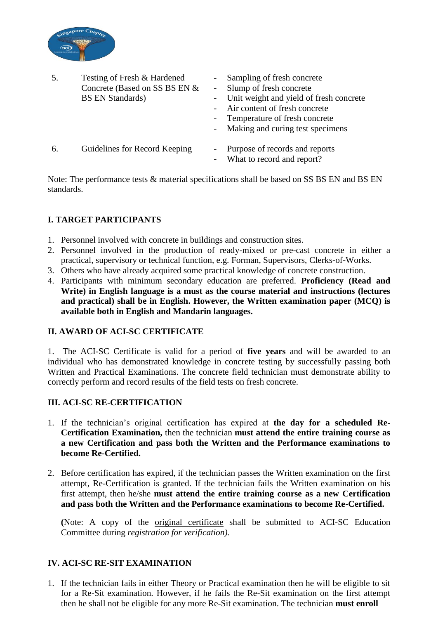

|    | Testing of Fresh & Hardened<br>Concrete (Based on SS BS EN &<br><b>BS EN Standards</b> ) | Sampling of fresh concrete<br>Slump of fresh concrete<br>- Unit weight and yield of fresh concrete<br>Air content of fresh concrete<br>- Temperature of fresh concrete<br>Making and curing test specimens |
|----|------------------------------------------------------------------------------------------|------------------------------------------------------------------------------------------------------------------------------------------------------------------------------------------------------------|
| 6. | Guidelines for Record Keeping                                                            | Purpose of records and reports<br>What to record and report?                                                                                                                                               |

Note: The performance tests & material specifications shall be based on SS BS EN and BS EN standards.

# **I. TARGET PARTICIPANTS**

- 1. Personnel involved with concrete in buildings and construction sites.
- 2. Personnel involved in the production of ready-mixed or pre-cast concrete in either a practical, supervisory or technical function, e.g. Forman, Supervisors, Clerks-of-Works.
- 3. Others who have already acquired some practical knowledge of concrete construction.
- 4. Participants with minimum secondary education are preferred. **Proficiency (Read and Write) in English language is a must as the course material and instructions (lectures and practical) shall be in English. However, the Written examination paper (MCQ) is available both in English and Mandarin languages.**

### **II. AWARD OF ACI-SC CERTIFICATE**

1. The ACI-SC Certificate is valid for a period of **five years** and will be awarded to an individual who has demonstrated knowledge in concrete testing by successfully passing both Written and Practical Examinations. The concrete field technician must demonstrate ability to correctly perform and record results of the field tests on fresh concrete.

### **III. ACI-SC RE-CERTIFICATION**

- 1. If the technician's original certification has expired at **the day for a scheduled Re-Certification Examination,** then the technician **must attend the entire training course as a new Certification and pass both the Written and the Performance examinations to become Re-Certified.**
- 2. Before certification has expired, if the technician passes the Written examination on the first attempt, Re-Certification is granted. If the technician fails the Written examination on his first attempt, then he/she **must attend the entire training course as a new Certification and pass both the Written and the Performance examinations to become Re-Certified.**

**(**Note: A copy of the original certificate shall be submitted to ACI-SC Education Committee during *registration for verification).*

### **IV. ACI-SC RE-SIT EXAMINATION**

1. If the technician fails in either Theory or Practical examination then he will be eligible to sit for a Re-Sit examination. However, if he fails the Re-Sit examination on the first attempt then he shall not be eligible for any more Re-Sit examination. The technician **must enroll**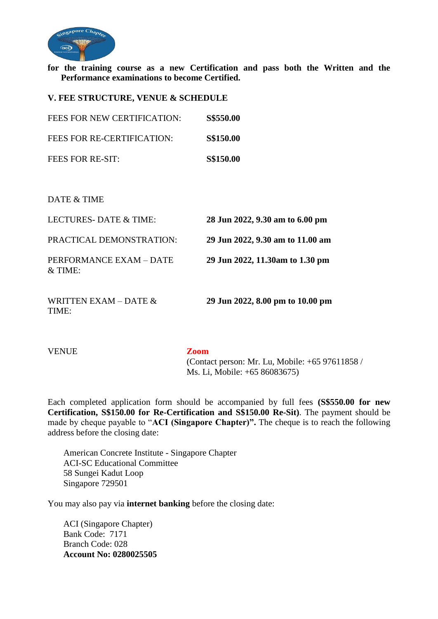

**for the training course as a new Certification and pass both the Written and the Performance examinations to become Certified.** 

**V. FEE STRUCTURE, VENUE & SCHEDULE**

| FEES FOR NEW CERTIFICATION: | <b>S\$550.00</b> |
|-----------------------------|------------------|
| FEES FOR RE-CERTIFICATION:  | <b>S\$150.00</b> |
| FEES FOR RE-SIT:            | <b>S\$150.00</b> |

DATE & TIME

| LECTURES-DATE & TIME:                | 28 Jun 2022, 9.30 am to 6.00 pm  |
|--------------------------------------|----------------------------------|
| PRACTICAL DEMONSTRATION:             | 29 Jun 2022, 9.30 am to 11.00 am |
| PERFORMANCE EXAM - DATE<br>$&$ TIME: | 29 Jun 2022, 11.30am to 1.30 pm  |
| WRITTEN EXAM – DATE $&$<br>TIME:     | 29 Jun 2022, 8.00 pm to 10.00 pm |

VENUE **Zoom**

 (Contact person: Mr. Lu, Mobile: +65 97611858 / Ms. Li, Mobile: +65 86083675)

Each completed application form should be accompanied by full fees **(S\$550.00 for new Certification, S\$150.00 for Re-Certification and S\$150.00 Re-Sit)**. The payment should be made by cheque payable to "**ACI (Singapore Chapter)".** The cheque is to reach the following address before the closing date:

American Concrete Institute - Singapore Chapter ACI-SC Educational Committee 58 Sungei Kadut Loop Singapore 729501

You may also pay via **internet banking** before the closing date:

ACI (Singapore Chapter) Bank Code: 7171 Branch Code: 028 **Account No: 0280025505**